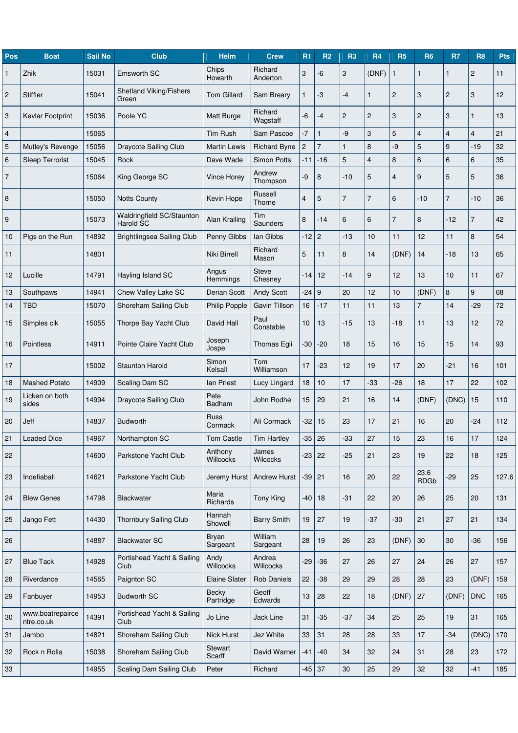| Pos            | <b>Boat</b>                    | <b>Sail No</b> | <b>Club</b>                             | <b>Helm</b>          | <b>Crew</b>                | <b>R1</b>                 | R <sub>2</sub> | <b>R3</b>      | <b>R4</b>      | <b>R5</b>      | <b>R6</b>           | R7             | <b>R8</b>      | <b>Pts</b> |
|----------------|--------------------------------|----------------|-----------------------------------------|----------------------|----------------------------|---------------------------|----------------|----------------|----------------|----------------|---------------------|----------------|----------------|------------|
| 1              | Zhik                           | 15031          | <b>Emsworth SC</b>                      | Chips<br>Howarth     | Richard<br>Anderton        | $\ensuremath{\mathsf{3}}$ | -6             | 3              | (DNF)          | 1              | 1                   | 1              | $\overline{c}$ | 11         |
| $\overline{c}$ | <b>Stiffler</b>                | 15041          | <b>Shetland Viking/Fishers</b><br>Green | Tom Gillard          | Sam Breary                 | 1                         | -3             | $-4$           | 1              | $\overline{c}$ | 3                   | $\overline{2}$ | 3              | 12         |
| 3              | Kevlar Footprint               | 15036          | Poole YC                                | Matt Burge           | Richard<br>Wagstaff        | -6                        | -4             | $\overline{c}$ | $\overline{2}$ | 3              | $\overline{c}$      | 3              | $\mathbf{1}$   | 13         |
| 4              |                                | 15065          |                                         | Tim Rush             | Sam Pascoe                 | $-7$                      | $\mathbf{1}$   | -9             | 3              | 5              | 4                   | $\overline{4}$ | $\overline{4}$ | 21         |
| 5              | Mutley's Revenge               | 15056          | <b>Draycote Sailing Club</b>            | <b>Martin Lewis</b>  | <b>Richard Byne</b>        | 2                         | $\overline{7}$ | $\mathbf{1}$   | 8              | -9             | 5                   | 9              | $-19$          | 32         |
| 6              | <b>Sleep Terrorist</b>         | 15045          | Rock                                    | Dave Wade            | <b>Simon Potts</b>         | $-11$                     | $-16$          | 5              | $\overline{4}$ | 8              | 6                   | $6\phantom{1}$ | 6              | 35         |
| $\overline{7}$ |                                | 15064          | King George SC                          | <b>Vince Horey</b>   | Andrew<br>Thompson         | -9                        | 8              | $-10$          | 5              | $\overline{4}$ | 9                   | 5              | 5              | 36         |
| 8              |                                | 15050          | <b>Notts County</b>                     | Kevin Hope           | Russell<br>Thorne          | $\overline{4}$            | 5              | $\overline{7}$ | $\overline{7}$ | 6              | $-10$               | $\overline{7}$ | $-10$          | 36         |
| 9              |                                | 15073          | Waldringfield SC/Staunton<br>Harold SC  | Alan Krailing        | Tim<br>Saunders            | 8                         | $-14$          | $\,6$          | 6              | $\overline{7}$ | 8                   | $-12$          | $\overline{7}$ | 42         |
| 10             | Pigs on the Run                | 14892          | Brightlingsea Sailing Club              | Penny Gibbs          | lan Gibbs                  | $-12$                     | $\overline{2}$ | $-13$          | 10             | 11             | 12                  | 11             | 8              | 54         |
| 11             |                                | 14801          |                                         | Niki Birrell         | Richard<br>Mason           | 5                         | 11             | 8              | 14             | (DNF)          | 14                  | -18            | 13             | 65         |
| 12             | Lucille                        | 14791          | Hayling Island SC                       | Angus<br>Hemmings    | <b>Steve</b><br>Chesney    | $-14$                     | 12             | $-14$          | 9              | 12             | 13                  | 10             | 11             | 67         |
| 13             | Southpaws                      | 14941          | Chew Valley Lake SC                     | Derian Scott         | <b>Andy Scott</b>          | $-24$                     | 9              | 20             | 12             | 10             | (DNF)               | 8              | 9              | 68         |
| 14             | <b>TBD</b>                     | 15070          | Shoreham Sailing Club                   | Philip Popple        | Gavin Tillson              | 16                        | $-17$          | 11             | 11             | 13             | 7                   | 14             | $-29$          | 72         |
| 15             | Simples clk                    | 15055          | Thorpe Bay Yacht Club                   | David Hall           | Paul<br>Constable          | 10                        | 13             | $-15$          | 13             | $-18$          | 11                  | 13             | 12             | 72         |
| 16             | Pointless                      | 14911          | Pointe Claire Yacht Club                | Joseph<br>Jospe      | Thomas Egli                | -30                       | $-20$          | 18             | 15             | 16             | 15                  | 15             | 14             | 93         |
| 17             |                                | 15002          | <b>Staunton Harold</b>                  | Simon<br>Kelsall     | Tom<br>Williamson          | 17                        | $-23$          | 12             | 19             | 17             | 20                  | $-21$          | 16             | 101        |
| 18             | <b>Mashed Potato</b>           | 14909          | Scaling Dam SC                          | lan Priest           | Lucy Lingard               | 18                        | 10             | 17             | $-33$          | $-26$          | 18                  | 17             | 22             | 102        |
| 19             | Licken on both<br>sides        | 14994          | <b>Draycote Sailing Club</b>            | Pete<br>Badham       | John Rodhe                 | 15                        | 29             | 21             | 16             | 14             | (DNF)               | (DNC)          | 15             | 110        |
| 20             | Jeff                           | 14837          | <b>Budworth</b>                         | Russ<br>Cormack      | Ali Cormack                | $-32$                     | 15             | 23             | 17             | 21             | 16                  | 20             | $-24$          | 112        |
| 21             | <b>Loaded Dice</b>             | 14967          | Northampton SC                          | Tom Castle           | Tim Hartley                | $-35$ 26                  |                | $-33$          | 27             | 15             | 23                  | 16             | 17             | 124        |
| 22             |                                | 14600          | Parkstone Yacht Club                    | Anthony<br>Willcocks | James<br>Wilcocks          | -23 22                    |                | $-25$          | 21             | 23             | 19                  | 22             | 18             | 125        |
| 23             | Indefiaball                    | 14621          | Parkstone Yacht Club                    | Jeremy Hurst         | <b>Andrew Hurst</b>        | $-39$ 21                  |                | 16             | 20             | 22             | 23.6<br><b>RDGb</b> | $-29$          | 25             | 127.6      |
| 24             | <b>Blew Genes</b>              | 14798          | Blackwater                              | Maria<br>Richards    | Tony King                  | $-40$   18                |                | $-31$          | 22             | 20             | 26                  | 25             | 20             | 131        |
| 25             | Jango Fett                     | 14430          | Thornbury Sailing Club                  | Hannah<br>Showell    | <b>Barry Smith</b>         | 19                        | 27             | 19             | $-37$          | -30            | 21                  | 27             | 21             | 134        |
| 26             |                                | 14887          | <b>Blackwater SC</b>                    | Bryan<br>Sargeant    | William<br>Sargeant        | 28                        | 19             | 26             | 23             | (DNF)          | 30                  | 30             | -36            | 156        |
| 27             | <b>Blue Tack</b>               | 14928          | Portishead Yacht & Sailing<br>Club      | Andy<br>Willcocks    | Andrea<br><b>Willcocks</b> | $-29$                     | $-36$          | 27             | 26             | 27             | 24                  | 26             | 27             | 157        |
| 28             | Riverdance                     | 14565          | Paignton SC                             | <b>Elaine Slater</b> | <b>Rob Daniels</b>         | 22                        | $-38$          | 29             | 29             | 28             | 28                  | 23             | (DNF)          | 159        |
| 29             | Fanbuyer                       | 14953          | <b>Budworth SC</b>                      | Becky<br>Partridge   | Geoff<br>Edwards           | 13                        | 28             | 22             | 18             | (DNF)          | 27                  | (DNF)          | <b>DNC</b>     | 165        |
| 30             | www.boatrepairce<br>ntre.co.uk | 14391          | Portishead Yacht & Sailing<br>Club      | Jo Line              | Jack Line                  | 31                        | $-35$          | $-37$          | 34             | 25             | 25                  | 19             | 31             | 165        |
| 31             | Jambo                          | 14821          | Shoreham Sailing Club                   | Nick Hurst           | Jez White                  | 33                        | 31             | 28             | 28             | 33             | 17                  | $-34$          | (DNC)          | 170        |
| 32             | Rock n Rolla                   | 15038          | Shoreham Sailing Club                   | Stewart<br>Scarff    | David Warner               | -41                       | -40            | 34             | 32             | 24             | 31                  | 28             | 23             | 172        |
| 33             |                                | 14955          | Scaling Dam Sailing Club                | Peter                | Richard                    | $-45$ 37                  |                | 30             | 25             | 29             | 32                  | 32             | $-41$          | 185        |